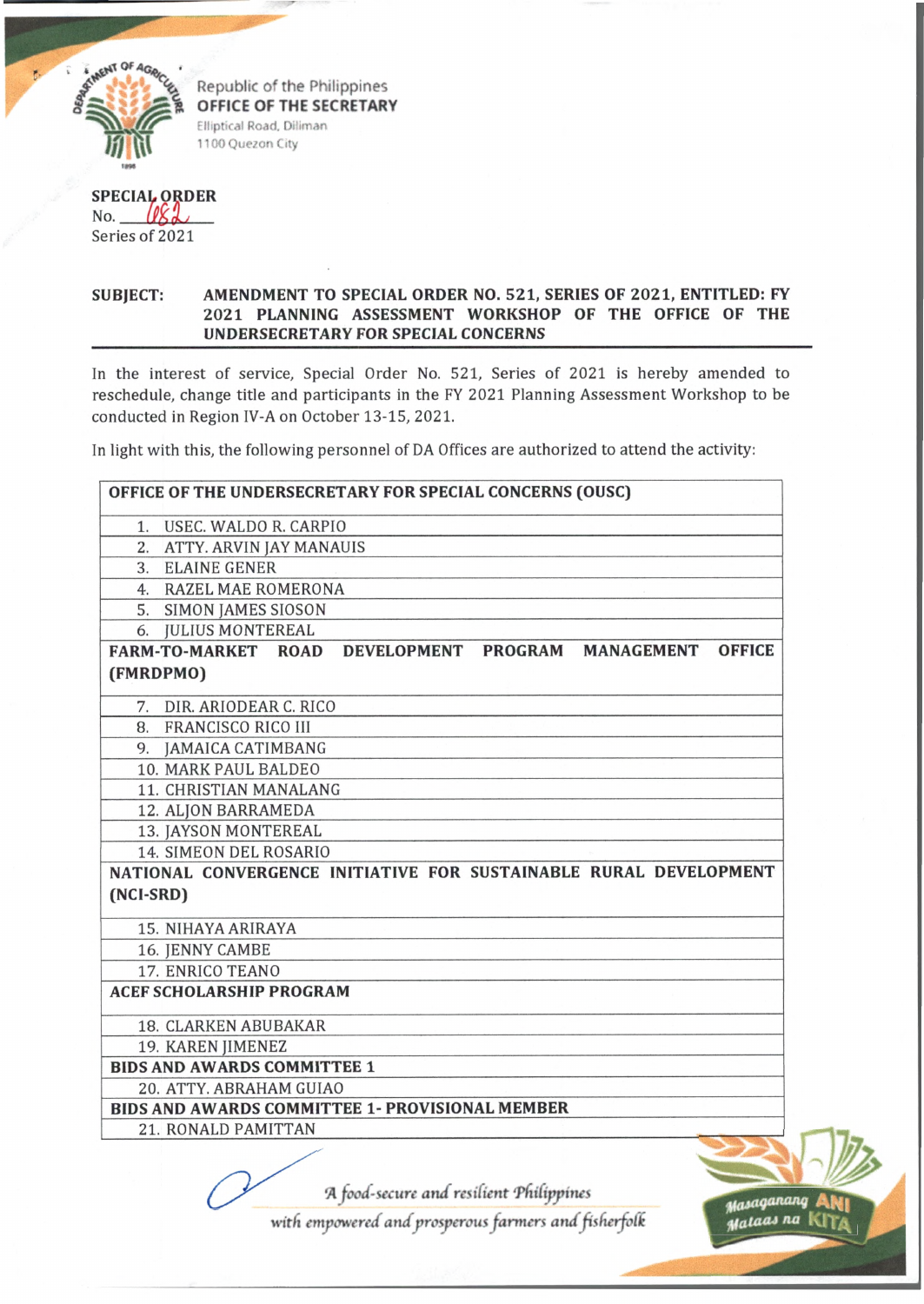

Republic of the Philippines OFFICE OF THE SECRETARY Elliptical Road, Diliman 1100 Quezon City

**SPECIA ORDER** No. WXL Series of 2021

## **SUBJECT: AMENDMENT TO SPECIAL ORDER NO. 521, SERIES OF 2021, ENTITLED: FY 2021 PLANNING ASSESSMENT WORKSHOP OF THE OFFICE OF THE UNDERSECRETARY FOR SPECIAL CONCERNS**

In the interest of service. Special Order No. 521, Series of 2021 is hereby amended to reschedule, change title and participants in the FY 2021 Planning Assessment Workshop to be conducted in Region IV-A on October 13-15, 2021.

In light with this, the following personnel of DA Offices are authorized to attend the activity:

| 1. USEC. WALDO R. CARPIO                                                                                                                         |                     |                   |               |
|--------------------------------------------------------------------------------------------------------------------------------------------------|---------------------|-------------------|---------------|
| 2. ATTY. ARVIN JAY MANAUIS                                                                                                                       |                     |                   |               |
| 3. ELAINE GENER                                                                                                                                  |                     |                   |               |
| 4. RAZEL MAE ROMERONA                                                                                                                            |                     |                   |               |
| 5. SIMON JAMES SIOSON                                                                                                                            |                     |                   |               |
| 6. JULIUS MONTEREAL                                                                                                                              |                     |                   |               |
| <b>FARM-TO-MARKET ROAD</b>                                                                                                                       | DEVELOPMENT PROGRAM | <b>MANAGEMENT</b> | <b>OFFICE</b> |
| (FMRDPMO)                                                                                                                                        |                     |                   |               |
| 7. DIR. ARIODEAR C. RICO                                                                                                                         |                     |                   |               |
| 8. FRANCISCO RICO III                                                                                                                            |                     |                   |               |
| 9. JAMAICA CATIMBANG                                                                                                                             |                     |                   |               |
| 10. MARK PAUL BALDEO                                                                                                                             |                     |                   |               |
| 11. CHRISTIAN MANALANG                                                                                                                           |                     |                   |               |
|                                                                                                                                                  |                     |                   |               |
|                                                                                                                                                  |                     |                   |               |
| 12. ALJON BARRAMEDA                                                                                                                              |                     |                   |               |
| 13. JAYSON MONTEREAL<br>14. SIMEON DEL ROSARIO                                                                                                   |                     |                   |               |
|                                                                                                                                                  |                     |                   |               |
|                                                                                                                                                  |                     |                   |               |
| 15. NIHAYA ARIRAYA                                                                                                                               |                     |                   |               |
| 16. JENNY CAMBE                                                                                                                                  |                     |                   |               |
| 17. ENRICO TEANO                                                                                                                                 |                     |                   |               |
|                                                                                                                                                  |                     |                   |               |
| NATIONAL CONVERGENCE INITIATIVE FOR SUSTAINABLE RURAL DEVELOPMENT<br>(NCI-SRD)<br><b>ACEF SCHOLARSHIP PROGRAM</b><br><b>18. CLARKEN ABUBAKAR</b> |                     |                   |               |
| 19. KAREN JIMENEZ                                                                                                                                |                     |                   |               |
| <b>BIDS AND AWARDS COMMITTEE 1</b>                                                                                                               |                     |                   |               |
| 20. ATTY. ABRAHAM GUIAO                                                                                                                          |                     |                   |               |
| <b>BIDS AND AWARDS COMMITTEE 1- PROVISIONAL MEMBER</b>                                                                                           |                     |                   |               |

*with empowered and prosperous farmers and fisfierfod*

*na* KIT/